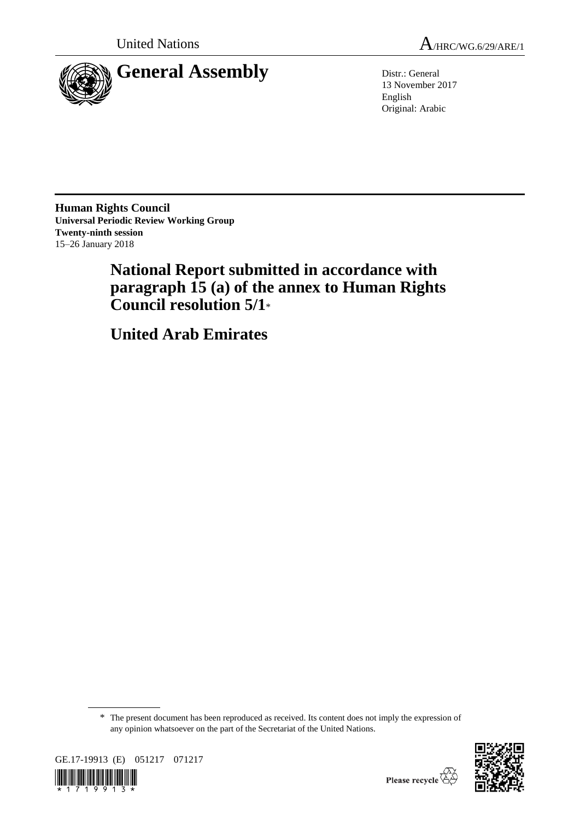

13 November 2017 English Original: Arabic

**Human Rights Council Universal Periodic Review Working Group Twenty-ninth session** 15–26 January 2018

> **National Report submitted in accordance with paragraph 15 (a) of the annex to Human Rights Council resolution 5/1**\*

**United Arab Emirates**

\* The present document has been reproduced as received. Its content does not imply the expression of any opinion whatsoever on the part of the Secretariat of the United Nations.



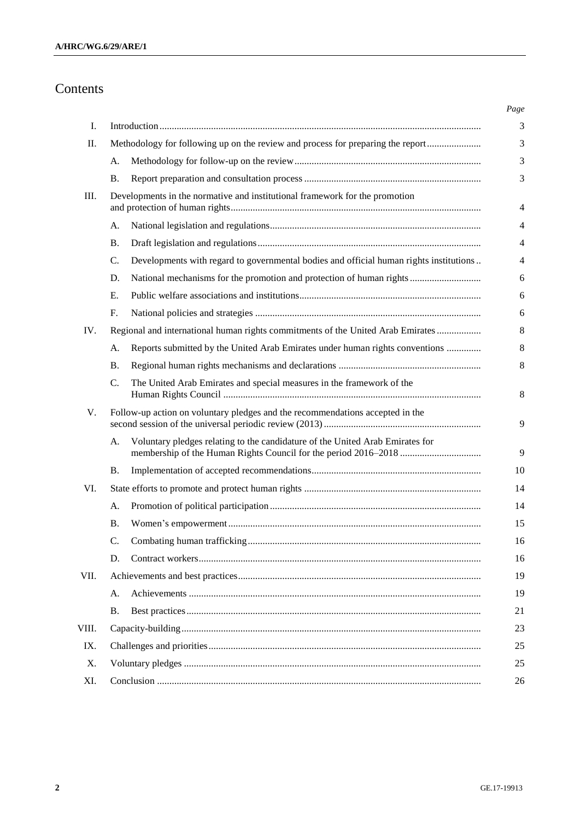# Contents

| Ι.    |                                                                             |                                                                                                                                                  |  |
|-------|-----------------------------------------------------------------------------|--------------------------------------------------------------------------------------------------------------------------------------------------|--|
| П.    |                                                                             | Methodology for following up on the review and process for preparing the report                                                                  |  |
|       | A.                                                                          |                                                                                                                                                  |  |
|       | Β.                                                                          |                                                                                                                                                  |  |
| Ш.    | Developments in the normative and institutional framework for the promotion |                                                                                                                                                  |  |
|       | A.                                                                          |                                                                                                                                                  |  |
|       | В.                                                                          |                                                                                                                                                  |  |
|       | C.                                                                          | Developments with regard to governmental bodies and official human rights institutions                                                           |  |
|       | D.                                                                          | National mechanisms for the promotion and protection of human rights                                                                             |  |
|       | Ε.                                                                          |                                                                                                                                                  |  |
|       | F.                                                                          |                                                                                                                                                  |  |
| IV.   |                                                                             | Regional and international human rights commitments of the United Arab Emirates                                                                  |  |
|       | A.                                                                          | Reports submitted by the United Arab Emirates under human rights conventions                                                                     |  |
|       | <b>B.</b>                                                                   |                                                                                                                                                  |  |
|       | C.                                                                          | The United Arab Emirates and special measures in the framework of the                                                                            |  |
| V.    |                                                                             | Follow-up action on voluntary pledges and the recommendations accepted in the                                                                    |  |
|       | A.                                                                          | Voluntary pledges relating to the candidature of the United Arab Emirates for<br>membership of the Human Rights Council for the period 2016-2018 |  |
|       | Β.                                                                          |                                                                                                                                                  |  |
| VI.   |                                                                             |                                                                                                                                                  |  |
|       | A.                                                                          |                                                                                                                                                  |  |
|       | <b>B.</b>                                                                   |                                                                                                                                                  |  |
|       | C.                                                                          |                                                                                                                                                  |  |
|       | D.                                                                          |                                                                                                                                                  |  |
| VII.  |                                                                             |                                                                                                                                                  |  |
|       | A.                                                                          |                                                                                                                                                  |  |
|       | Β.                                                                          |                                                                                                                                                  |  |
| VIII. |                                                                             |                                                                                                                                                  |  |
| IX.   |                                                                             |                                                                                                                                                  |  |
| Χ.    |                                                                             |                                                                                                                                                  |  |
| XI.   |                                                                             |                                                                                                                                                  |  |
|       |                                                                             |                                                                                                                                                  |  |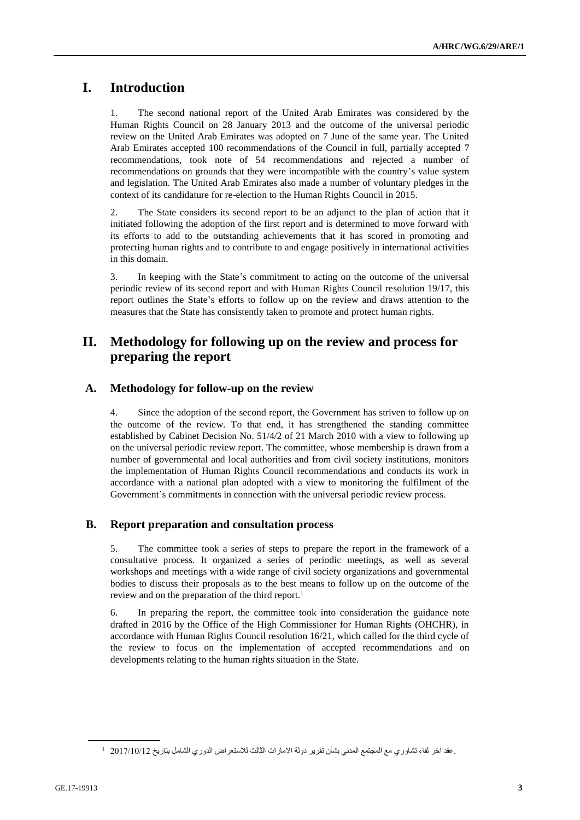# **I. Introduction**

1. The second national report of the United Arab Emirates was considered by the Human Rights Council on 28 January 2013 and the outcome of the universal periodic review on the United Arab Emirates was adopted on 7 June of the same year. The United Arab Emirates accepted 100 recommendations of the Council in full, partially accepted 7 recommendations, took note of 54 recommendations and rejected a number of recommendations on grounds that they were incompatible with the country's value system and legislation. The United Arab Emirates also made a number of voluntary pledges in the context of its candidature for re-election to the Human Rights Council in 2015.

2. The State considers its second report to be an adjunct to the plan of action that it initiated following the adoption of the first report and is determined to move forward with its efforts to add to the outstanding achievements that it has scored in promoting and protecting human rights and to contribute to and engage positively in international activities in this domain.

3. In keeping with the State's commitment to acting on the outcome of the universal periodic review of its second report and with Human Rights Council resolution 19/17, this report outlines the State's efforts to follow up on the review and draws attention to the measures that the State has consistently taken to promote and protect human rights.

# **II. Methodology for following up on the review and process for preparing the report**

### <span id="page-2-0"></span>**A. Methodology for follow-up on the review**

4. Since the adoption of the second report, the Government has striven to follow up on the outcome of the review. To that end, it has strengthened the standing committee established by Cabinet Decision No. 51/4/2 of 21 March 2010 with a view to following up on the universal periodic review report. The committee, whose membership is drawn from a number of governmental and local authorities and from civil society institutions, monitors the implementation of Human Rights Council recommendations and conducts its work in accordance with a national plan adopted with a view to monitoring the fulfilment of the Government's commitments in connection with the universal periodic review process.

## <span id="page-2-1"></span>**B. Report preparation and consultation process**

5. The committee took a series of steps to prepare the report in the framework of a consultative process. It organized a series of periodic meetings, as well as several workshops and meetings with a wide range of civil society organizations and governmental bodies to discuss their proposals as to the best means to follow up on the outcome of the review and on the preparation of the third report.<sup>1</sup>

6. In preparing the report, the committee took into consideration the guidance note drafted in 2016 by the Office of the High Commissioner for Human Rights (OHCHR), in accordance with Human Rights Council resolution 16/21, which called for the third cycle of the review to focus on the implementation of accepted recommendations and on developments relating to the human rights situation in the State.

<sup>.</sup>عقد آخر لقاء تشاوري مع المجتمع المدني بشأن تقرير دولة االمارات الثالث لالستعراض الدوري الشامل بتاريخ 2017/10/12 <sup>1</sup>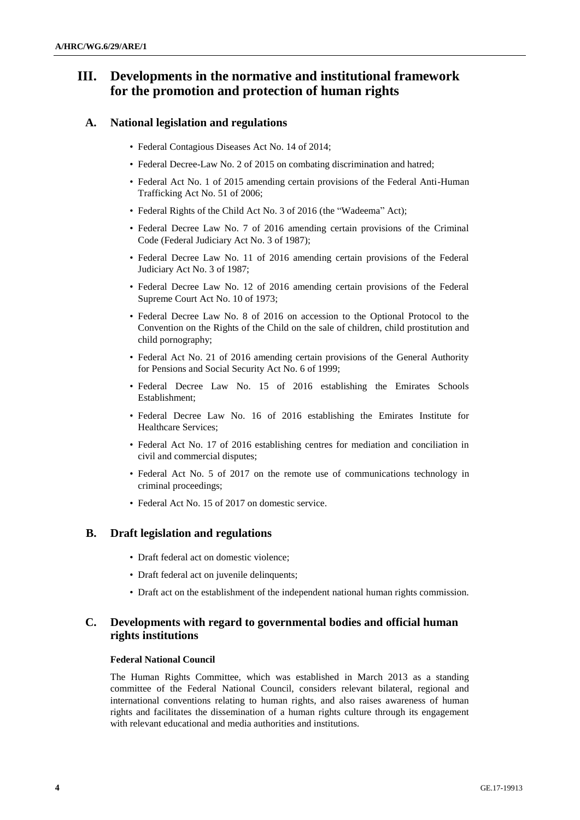# <span id="page-3-0"></span>**III. Developments in the normative and institutional framework for the promotion and protection of human rights**

### <span id="page-3-1"></span>**A. National legislation and regulations**

- Federal Contagious Diseases Act No. 14 of 2014;
- Federal Decree-Law No. 2 of 2015 on combating discrimination and hatred;
- Federal Act No. 1 of 2015 amending certain provisions of the Federal Anti-Human Trafficking Act No. 51 of 2006;
- Federal Rights of the Child Act No. 3 of 2016 (the "Wadeema" Act);
- Federal Decree Law No. 7 of 2016 amending certain provisions of the Criminal Code (Federal Judiciary Act No. 3 of 1987);
- Federal Decree Law No. 11 of 2016 amending certain provisions of the Federal Judiciary Act No. 3 of 1987;
- Federal Decree Law No. 12 of 2016 amending certain provisions of the Federal Supreme Court Act No. 10 of 1973;
- Federal Decree Law No. 8 of 2016 on accession to the Optional Protocol to the Convention on the Rights of the Child on the sale of children, child prostitution and child pornography;
- Federal Act No. 21 of 2016 amending certain provisions of the General Authority for Pensions and Social Security Act No. 6 of 1999;
- Federal Decree Law No. 15 of 2016 establishing the Emirates Schools Establishment;
- Federal Decree Law No. 16 of 2016 establishing the Emirates Institute for Healthcare Services;
- Federal Act No. 17 of 2016 establishing centres for mediation and conciliation in civil and commercial disputes;
- Federal Act No. 5 of 2017 on the remote use of communications technology in criminal proceedings;
- Federal Act No. 15 of 2017 on domestic service.

### <span id="page-3-2"></span>**B. Draft legislation and regulations**

- Draft federal act on domestic violence;
- Draft federal act on juvenile delinquents;
- Draft act on the establishment of the independent national human rights commission.

## <span id="page-3-3"></span>**C. Developments with regard to governmental bodies and official human rights institutions**

### **Federal National Council**

The Human Rights Committee, which was established in March 2013 as a standing committee of the Federal National Council, considers relevant bilateral, regional and international conventions relating to human rights, and also raises awareness of human rights and facilitates the dissemination of a human rights culture through its engagement with relevant educational and media authorities and institutions.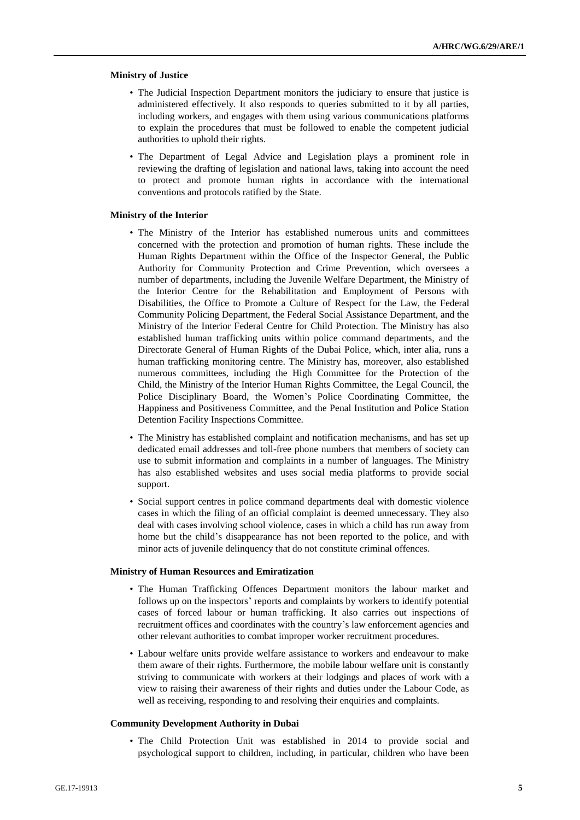#### **Ministry of Justice**

- The Judicial Inspection Department monitors the judiciary to ensure that justice is administered effectively. It also responds to queries submitted to it by all parties, including workers, and engages with them using various communications platforms to explain the procedures that must be followed to enable the competent judicial authorities to uphold their rights.
- The Department of Legal Advice and Legislation plays a prominent role in reviewing the drafting of legislation and national laws, taking into account the need to protect and promote human rights in accordance with the international conventions and protocols ratified by the State.

#### **Ministry of the Interior**

- The Ministry of the Interior has established numerous units and committees concerned with the protection and promotion of human rights. These include the Human Rights Department within the Office of the Inspector General, the Public Authority for Community Protection and Crime Prevention, which oversees a number of departments, including the Juvenile Welfare Department, the Ministry of the Interior Centre for the Rehabilitation and Employment of Persons with Disabilities, the Office to Promote a Culture of Respect for the Law, the Federal Community Policing Department, the Federal Social Assistance Department, and the Ministry of the Interior Federal Centre for Child Protection. The Ministry has also established human trafficking units within police command departments, and the Directorate General of Human Rights of the Dubai Police, which, inter alia, runs a human trafficking monitoring centre. The Ministry has, moreover, also established numerous committees, including the High Committee for the Protection of the Child, the Ministry of the Interior Human Rights Committee, the Legal Council, the Police Disciplinary Board, the Women's Police Coordinating Committee, the Happiness and Positiveness Committee, and the Penal Institution and Police Station Detention Facility Inspections Committee.
- The Ministry has established complaint and notification mechanisms, and has set up dedicated email addresses and toll-free phone numbers that members of society can use to submit information and complaints in a number of languages. The Ministry has also established websites and uses social media platforms to provide social support.
- Social support centres in police command departments deal with domestic violence cases in which the filing of an official complaint is deemed unnecessary. They also deal with cases involving school violence, cases in which a child has run away from home but the child's disappearance has not been reported to the police, and with minor acts of juvenile delinquency that do not constitute criminal offences.

#### **Ministry of Human Resources and Emiratization**

- The Human Trafficking Offences Department monitors the labour market and follows up on the inspectors' reports and complaints by workers to identify potential cases of forced labour or human trafficking. It also carries out inspections of recruitment offices and coordinates with the country's law enforcement agencies and other relevant authorities to combat improper worker recruitment procedures.
- Labour welfare units provide welfare assistance to workers and endeavour to make them aware of their rights. Furthermore, the mobile labour welfare unit is constantly striving to communicate with workers at their lodgings and places of work with a view to raising their awareness of their rights and duties under the Labour Code, as well as receiving, responding to and resolving their enquiries and complaints.

#### **Community Development Authority in Dubai**

• The Child Protection Unit was established in 2014 to provide social and psychological support to children, including, in particular, children who have been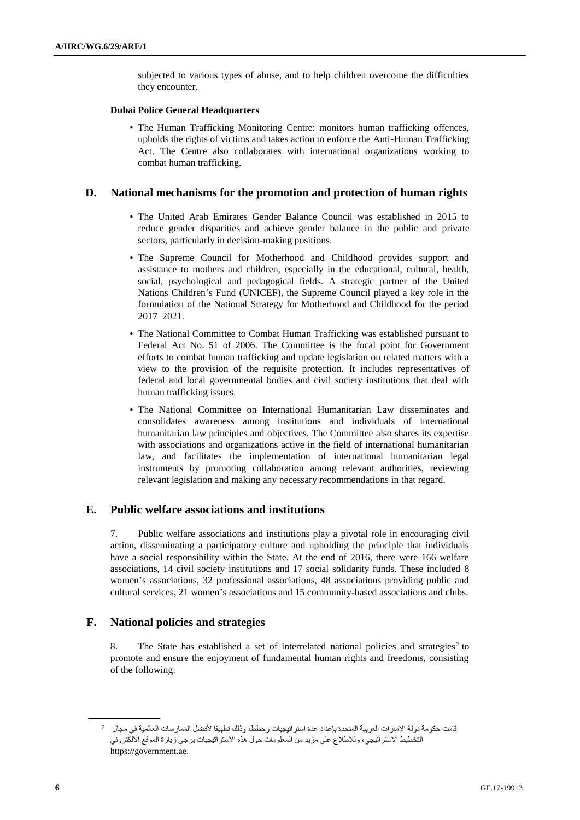subjected to various types of abuse, and to help children overcome the difficulties they encounter.

### **Dubai Police General Headquarters**

• The Human Trafficking Monitoring Centre: monitors human trafficking offences, upholds the rights of victims and takes action to enforce the Anti-Human Trafficking Act. The Centre also collaborates with international organizations working to combat human trafficking.

### <span id="page-5-0"></span>**D. National mechanisms for the promotion and protection of human rights**

- The United Arab Emirates Gender Balance Council was established in 2015 to reduce gender disparities and achieve gender balance in the public and private sectors, particularly in decision-making positions.
- The Supreme Council for Motherhood and Childhood provides support and assistance to mothers and children, especially in the educational, cultural, health, social, psychological and pedagogical fields. A strategic partner of the United Nations Children's Fund (UNICEF), the Supreme Council played a key role in the formulation of the National Strategy for Motherhood and Childhood for the period 2017–2021.
- The National Committee to Combat Human Trafficking was established pursuant to Federal Act No. 51 of 2006. The Committee is the focal point for Government efforts to combat human trafficking and update legislation on related matters with a view to the provision of the requisite protection. It includes representatives of federal and local governmental bodies and civil society institutions that deal with human trafficking issues.
- The National Committee on International Humanitarian Law disseminates and consolidates awareness among institutions and individuals of international humanitarian law principles and objectives. The Committee also shares its expertise with associations and organizations active in the field of international humanitarian law, and facilitates the implementation of international humanitarian legal instruments by promoting collaboration among relevant authorities, reviewing relevant legislation and making any necessary recommendations in that regard.

## <span id="page-5-1"></span>**E. Public welfare associations and institutions**

7. Public welfare associations and institutions play a pivotal role in encouraging civil action, disseminating a participatory culture and upholding the principle that individuals have a social responsibility within the State. At the end of 2016, there were 166 welfare associations, 14 civil society institutions and 17 social solidarity funds. These included 8 women's associations, 32 professional associations, 48 associations providing public and cultural services, 21 women's associations and 15 community-based associations and clubs.

## <span id="page-5-2"></span>**F. National policies and strategies**

8. The State has established a set of interrelated national policies and strategies<sup>2</sup> to promote and ensure the enjoyment of fundamental human rights and freedoms, consisting of the following:

<sup>2</sup> قامت حكومة دولة اإلمارات العربية المتحدة بإعداد عدة استراتيجيات وخطط، وذلك تطبيقا ألفضل الممارسات العالمية في مجال التخطيط الاستراتيجي، وللاطلاع على مزيد من المعلومات حول هذه الاستر اتيجيات يرجى زيارة الموقع الالكتروني https://government.ae.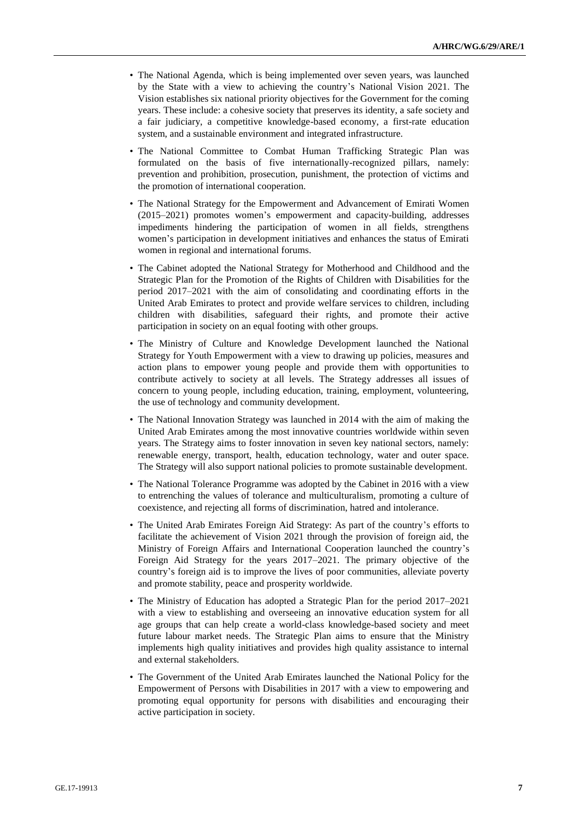- The National Agenda, which is being implemented over seven years, was launched by the State with a view to achieving the country's National Vision 2021. The Vision establishes six national priority objectives for the Government for the coming years. These include: a cohesive society that preserves its identity, a safe society and a fair judiciary, a competitive knowledge-based economy, a first-rate education system, and a sustainable environment and integrated infrastructure.
- The National Committee to Combat Human Trafficking Strategic Plan was formulated on the basis of five internationally-recognized pillars, namely: prevention and prohibition, prosecution, punishment, the protection of victims and the promotion of international cooperation.
- The National Strategy for the Empowerment and Advancement of Emirati Women (2015–2021) promotes women's empowerment and capacity-building, addresses impediments hindering the participation of women in all fields, strengthens women's participation in development initiatives and enhances the status of Emirati women in regional and international forums.
- The Cabinet adopted the National Strategy for Motherhood and Childhood and the Strategic Plan for the Promotion of the Rights of Children with Disabilities for the period 2017–2021 with the aim of consolidating and coordinating efforts in the United Arab Emirates to protect and provide welfare services to children, including children with disabilities, safeguard their rights, and promote their active participation in society on an equal footing with other groups.
- The Ministry of Culture and Knowledge Development launched the National Strategy for Youth Empowerment with a view to drawing up policies, measures and action plans to empower young people and provide them with opportunities to contribute actively to society at all levels. The Strategy addresses all issues of concern to young people, including education, training, employment, volunteering, the use of technology and community development.
- The National Innovation Strategy was launched in 2014 with the aim of making the United Arab Emirates among the most innovative countries worldwide within seven years. The Strategy aims to foster innovation in seven key national sectors, namely: renewable energy, transport, health, education technology, water and outer space. The Strategy will also support national policies to promote sustainable development.
- The National Tolerance Programme was adopted by the Cabinet in 2016 with a view to entrenching the values of tolerance and multiculturalism, promoting a culture of coexistence, and rejecting all forms of discrimination, hatred and intolerance.
- The United Arab Emirates Foreign Aid Strategy: As part of the country's efforts to facilitate the achievement of Vision 2021 through the provision of foreign aid, the Ministry of Foreign Affairs and International Cooperation launched the country's Foreign Aid Strategy for the years 2017–2021. The primary objective of the country's foreign aid is to improve the lives of poor communities, alleviate poverty and promote stability, peace and prosperity worldwide.
- The Ministry of Education has adopted a Strategic Plan for the period 2017–2021 with a view to establishing and overseeing an innovative education system for all age groups that can help create a world-class knowledge-based society and meet future labour market needs. The Strategic Plan aims to ensure that the Ministry implements high quality initiatives and provides high quality assistance to internal and external stakeholders.
- The Government of the United Arab Emirates launched the National Policy for the Empowerment of Persons with Disabilities in 2017 with a view to empowering and promoting equal opportunity for persons with disabilities and encouraging their active participation in society.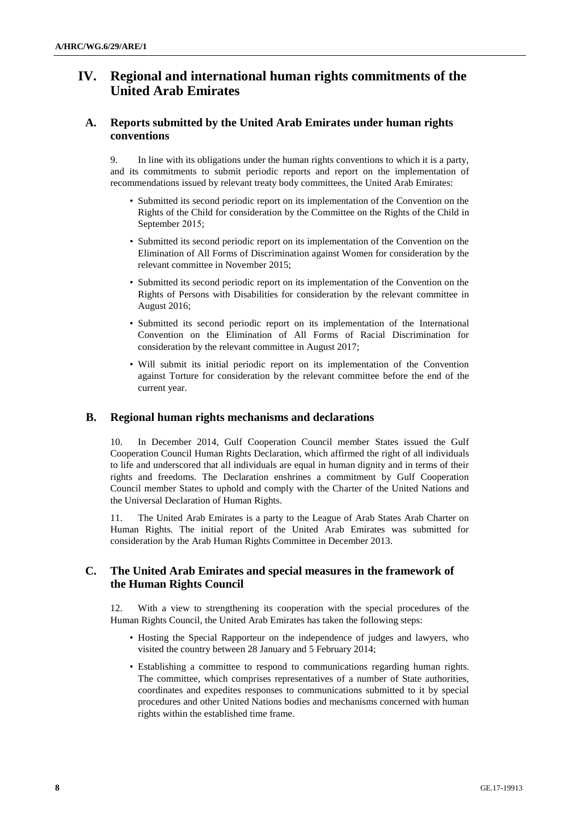# <span id="page-7-0"></span>**IV. Regional and international human rights commitments of the United Arab Emirates**

### <span id="page-7-1"></span>**A. Reports submitted by the United Arab Emirates under human rights conventions**

9. In line with its obligations under the human rights conventions to which it is a party, and its commitments to submit periodic reports and report on the implementation of recommendations issued by relevant treaty body committees, the United Arab Emirates:

- Submitted its second periodic report on its implementation of the Convention on the Rights of the Child for consideration by the Committee on the Rights of the Child in September 2015;
- Submitted its second periodic report on its implementation of the Convention on the Elimination of All Forms of Discrimination against Women for consideration by the relevant committee in November 2015;
- Submitted its second periodic report on its implementation of the Convention on the Rights of Persons with Disabilities for consideration by the relevant committee in August 2016;
- Submitted its second periodic report on its implementation of the International Convention on the Elimination of All Forms of Racial Discrimination for consideration by the relevant committee in August 2017;
- Will submit its initial periodic report on its implementation of the Convention against Torture for consideration by the relevant committee before the end of the current year.

## <span id="page-7-2"></span>**B. Regional human rights mechanisms and declarations**

10. In December 2014, Gulf Cooperation Council member States issued the Gulf Cooperation Council Human Rights Declaration, which affirmed the right of all individuals to life and underscored that all individuals are equal in human dignity and in terms of their rights and freedoms. The Declaration enshrines a commitment by Gulf Cooperation Council member States to uphold and comply with the Charter of the United Nations and the Universal Declaration of Human Rights.

11. The United Arab Emirates is a party to the League of Arab States Arab Charter on Human Rights. The initial report of the United Arab Emirates was submitted for consideration by the Arab Human Rights Committee in December 2013.

### <span id="page-7-3"></span>**C. The United Arab Emirates and special measures in the framework of the Human Rights Council**

12. With a view to strengthening its cooperation with the special procedures of the Human Rights Council, the United Arab Emirates has taken the following steps:

- Hosting the Special Rapporteur on the independence of judges and lawyers, who visited the country between 28 January and 5 February 2014;
- Establishing a committee to respond to communications regarding human rights. The committee, which comprises representatives of a number of State authorities, coordinates and expedites responses to communications submitted to it by special procedures and other United Nations bodies and mechanisms concerned with human rights within the established time frame.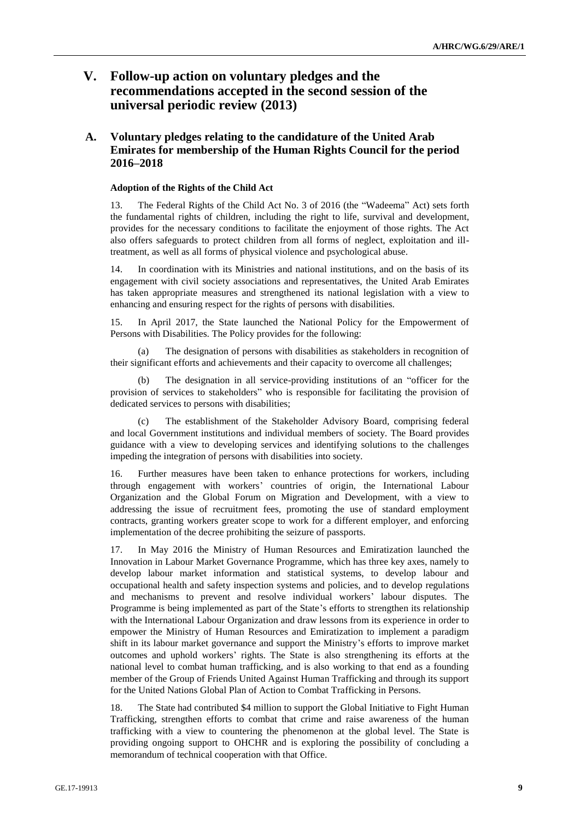# <span id="page-8-0"></span>**V. Follow-up action on voluntary pledges and the recommendations accepted in the second session of the universal periodic review (2013)**

## <span id="page-8-1"></span>**A. Voluntary pledges relating to the candidature of the United Arab Emirates for membership of the Human Rights Council for the period 2016–2018**

### **Adoption of the Rights of the Child Act**

13. The Federal Rights of the Child Act No. 3 of 2016 (the "Wadeema" Act) sets forth the fundamental rights of children, including the right to life, survival and development, provides for the necessary conditions to facilitate the enjoyment of those rights. The Act also offers safeguards to protect children from all forms of neglect, exploitation and illtreatment, as well as all forms of physical violence and psychological abuse.

14. In coordination with its Ministries and national institutions, and on the basis of its engagement with civil society associations and representatives, the United Arab Emirates has taken appropriate measures and strengthened its national legislation with a view to enhancing and ensuring respect for the rights of persons with disabilities.

15. In April 2017, the State launched the National Policy for the Empowerment of Persons with Disabilities. The Policy provides for the following:

(a) The designation of persons with disabilities as stakeholders in recognition of their significant efforts and achievements and their capacity to overcome all challenges;

(b) The designation in all service-providing institutions of an "officer for the provision of services to stakeholders" who is responsible for facilitating the provision of dedicated services to persons with disabilities;

(c) The establishment of the Stakeholder Advisory Board, comprising federal and local Government institutions and individual members of society. The Board provides guidance with a view to developing services and identifying solutions to the challenges impeding the integration of persons with disabilities into society.

16. Further measures have been taken to enhance protections for workers, including through engagement with workers' countries of origin, the International Labour Organization and the Global Forum on Migration and Development, with a view to addressing the issue of recruitment fees, promoting the use of standard employment contracts, granting workers greater scope to work for a different employer, and enforcing implementation of the decree prohibiting the seizure of passports.

17. In May 2016 the Ministry of Human Resources and Emiratization launched the Innovation in Labour Market Governance Programme, which has three key axes, namely to develop labour market information and statistical systems, to develop labour and occupational health and safety inspection systems and policies, and to develop regulations and mechanisms to prevent and resolve individual workers' labour disputes. The Programme is being implemented as part of the State's efforts to strengthen its relationship with the International Labour Organization and draw lessons from its experience in order to empower the Ministry of Human Resources and Emiratization to implement a paradigm shift in its labour market governance and support the Ministry's efforts to improve market outcomes and uphold workers' rights. The State is also strengthening its efforts at the national level to combat human trafficking, and is also working to that end as a founding member of the Group of Friends United Against Human Trafficking and through its support for the United Nations Global Plan of Action to Combat Trafficking in Persons.

18. The State had contributed \$4 million to support the Global Initiative to Fight Human Trafficking, strengthen efforts to combat that crime and raise awareness of the human trafficking with a view to countering the phenomenon at the global level. The State is providing ongoing support to OHCHR and is exploring the possibility of concluding a memorandum of technical cooperation with that Office.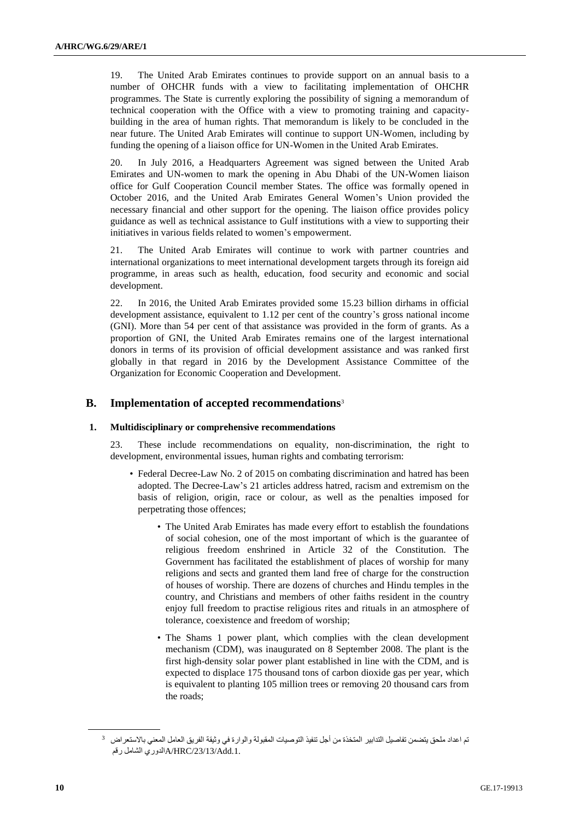19. The United Arab Emirates continues to provide support on an annual basis to a number of OHCHR funds with a view to facilitating implementation of OHCHR programmes. The State is currently exploring the possibility of signing a memorandum of technical cooperation with the Office with a view to promoting training and capacitybuilding in the area of human rights. That memorandum is likely to be concluded in the near future. The United Arab Emirates will continue to support UN-Women, including by funding the opening of a liaison office for UN-Women in the United Arab Emirates.

20. In July 2016, a Headquarters Agreement was signed between the United Arab Emirates and UN-women to mark the opening in Abu Dhabi of the UN-Women liaison office for Gulf Cooperation Council member States. The office was formally opened in October 2016, and the United Arab Emirates General Women's Union provided the necessary financial and other support for the opening. The liaison office provides policy guidance as well as technical assistance to Gulf institutions with a view to supporting their initiatives in various fields related to women's empowerment.

21. The United Arab Emirates will continue to work with partner countries and international organizations to meet international development targets through its foreign aid programme, in areas such as health, education, food security and economic and social development.

22. In 2016, the United Arab Emirates provided some 15.23 billion dirhams in official development assistance, equivalent to 1.12 per cent of the country's gross national income (GNI). More than 54 per cent of that assistance was provided in the form of grants. As a proportion of GNI, the United Arab Emirates remains one of the largest international donors in terms of its provision of official development assistance and was ranked first globally in that regard in 2016 by the Development Assistance Committee of the Organization for Economic Cooperation and Development.

### <span id="page-9-0"></span>**B. Implementation of accepted recommendations**<sup>3</sup>

#### **1. Multidisciplinary or comprehensive recommendations**

23. These include recommendations on equality, non-discrimination, the right to development, environmental issues, human rights and combating terrorism:

- Federal Decree-Law No. 2 of 2015 on combating discrimination and hatred has been adopted. The Decree-Law's 21 articles address hatred, racism and extremism on the basis of religion, origin, race or colour, as well as the penalties imposed for perpetrating those offences;
	- The United Arab Emirates has made every effort to establish the foundations of social cohesion, one of the most important of which is the guarantee of religious freedom enshrined in Article 32 of the Constitution. The Government has facilitated the establishment of places of worship for many religions and sects and granted them land free of charge for the construction of houses of worship. There are dozens of churches and Hindu temples in the country, and Christians and members of other faiths resident in the country enjoy full freedom to practise religious rites and rituals in an atmosphere of tolerance, coexistence and freedom of worship;
	- The Shams 1 power plant, which complies with the clean development mechanism (CDM), was inaugurated on 8 September 2008. The plant is the first high-density solar power plant established in line with the CDM, and is expected to displace 175 thousand tons of carbon dioxide gas per year, which is equivalent to planting 105 million trees or removing 20 thousand cars from the roads;

<sup>3</sup> تم اعداد ملحق يتضمن تفاصيل التدابير المتخذة من أجل تنفيذ التوصيات المقبولة والوارة في وثيقة الفريق العامل المعني باالستعراض .1.Add/23/13/HRC/Aالدوري الشامل رقم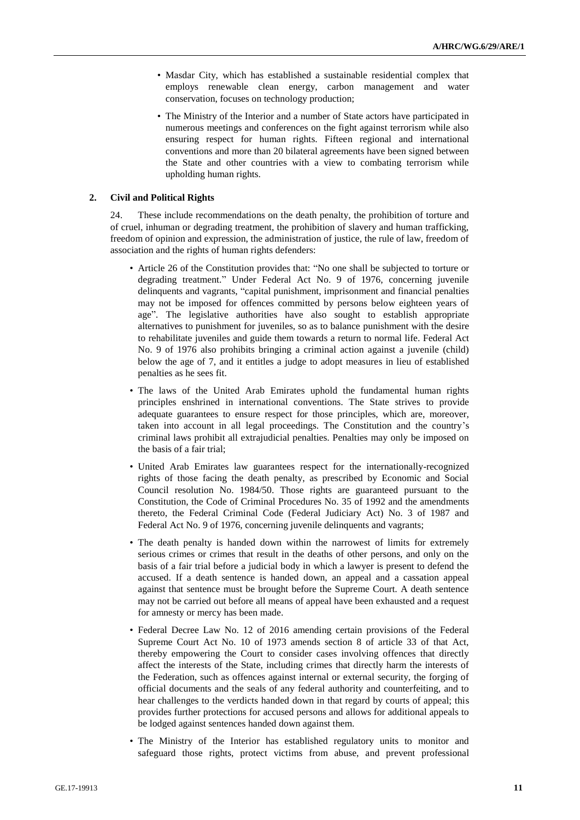- Masdar City, which has established a sustainable residential complex that employs renewable clean energy, carbon management and water conservation, focuses on technology production;
- The Ministry of the Interior and a number of State actors have participated in numerous meetings and conferences on the fight against terrorism while also ensuring respect for human rights. Fifteen regional and international conventions and more than 20 bilateral agreements have been signed between the State and other countries with a view to combating terrorism while upholding human rights.

#### **2. Civil and Political Rights**

24. These include recommendations on the death penalty, the prohibition of torture and of cruel, inhuman or degrading treatment, the prohibition of slavery and human trafficking, freedom of opinion and expression, the administration of justice, the rule of law, freedom of association and the rights of human rights defenders:

- Article 26 of the Constitution provides that: "No one shall be subjected to torture or degrading treatment." Under Federal Act No. 9 of 1976, concerning juvenile delinquents and vagrants, "capital punishment, imprisonment and financial penalties may not be imposed for offences committed by persons below eighteen years of age". The legislative authorities have also sought to establish appropriate alternatives to punishment for juveniles, so as to balance punishment with the desire to rehabilitate juveniles and guide them towards a return to normal life. Federal Act No. 9 of 1976 also prohibits bringing a criminal action against a juvenile (child) below the age of 7, and it entitles a judge to adopt measures in lieu of established penalties as he sees fit.
- The laws of the United Arab Emirates uphold the fundamental human rights principles enshrined in international conventions. The State strives to provide adequate guarantees to ensure respect for those principles, which are, moreover, taken into account in all legal proceedings. The Constitution and the country's criminal laws prohibit all extrajudicial penalties. Penalties may only be imposed on the basis of a fair trial;
- United Arab Emirates law guarantees respect for the internationally-recognized rights of those facing the death penalty, as prescribed by Economic and Social Council resolution No. 1984/50. Those rights are guaranteed pursuant to the Constitution, the Code of Criminal Procedures No. 35 of 1992 and the amendments thereto, the Federal Criminal Code (Federal Judiciary Act) No. 3 of 1987 and Federal Act No. 9 of 1976, concerning juvenile delinquents and vagrants;
- The death penalty is handed down within the narrowest of limits for extremely serious crimes or crimes that result in the deaths of other persons, and only on the basis of a fair trial before a judicial body in which a lawyer is present to defend the accused. If a death sentence is handed down, an appeal and a cassation appeal against that sentence must be brought before the Supreme Court. A death sentence may not be carried out before all means of appeal have been exhausted and a request for amnesty or mercy has been made.
- Federal Decree Law No. 12 of 2016 amending certain provisions of the Federal Supreme Court Act No. 10 of 1973 amends section 8 of article 33 of that Act, thereby empowering the Court to consider cases involving offences that directly affect the interests of the State, including crimes that directly harm the interests of the Federation, such as offences against internal or external security, the forging of official documents and the seals of any federal authority and counterfeiting, and to hear challenges to the verdicts handed down in that regard by courts of appeal; this provides further protections for accused persons and allows for additional appeals to be lodged against sentences handed down against them.
- The Ministry of the Interior has established regulatory units to monitor and safeguard those rights, protect victims from abuse, and prevent professional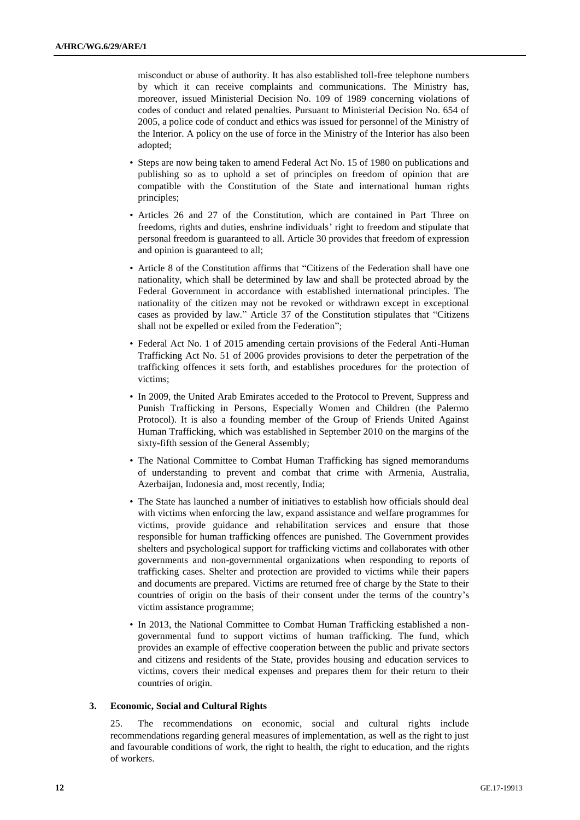misconduct or abuse of authority. It has also established toll-free telephone numbers by which it can receive complaints and communications. The Ministry has, moreover, issued Ministerial Decision No. 109 of 1989 concerning violations of codes of conduct and related penalties. Pursuant to Ministerial Decision No. 654 of 2005, a police code of conduct and ethics was issued for personnel of the Ministry of the Interior. A policy on the use of force in the Ministry of the Interior has also been adopted;

- Steps are now being taken to amend Federal Act No. 15 of 1980 on publications and publishing so as to uphold a set of principles on freedom of opinion that are compatible with the Constitution of the State and international human rights principles;
- Articles 26 and 27 of the Constitution, which are contained in Part Three on freedoms, rights and duties, enshrine individuals' right to freedom and stipulate that personal freedom is guaranteed to all. Article 30 provides that freedom of expression and opinion is guaranteed to all;
- Article 8 of the Constitution affirms that "Citizens of the Federation shall have one nationality, which shall be determined by law and shall be protected abroad by the Federal Government in accordance with established international principles. The nationality of the citizen may not be revoked or withdrawn except in exceptional cases as provided by law." Article 37 of the Constitution stipulates that "Citizens shall not be expelled or exiled from the Federation";
- Federal Act No. 1 of 2015 amending certain provisions of the Federal Anti-Human Trafficking Act No. 51 of 2006 provides provisions to deter the perpetration of the trafficking offences it sets forth, and establishes procedures for the protection of victims;
- In 2009, the United Arab Emirates acceded to the Protocol to Prevent, Suppress and Punish Trafficking in Persons, Especially Women and Children (the Palermo Protocol). It is also a founding member of the Group of Friends United Against Human Trafficking, which was established in September 2010 on the margins of the sixty-fifth session of the General Assembly;
- The National Committee to Combat Human Trafficking has signed memorandums of understanding to prevent and combat that crime with Armenia, Australia, Azerbaijan, Indonesia and, most recently, India;
- The State has launched a number of initiatives to establish how officials should deal with victims when enforcing the law, expand assistance and welfare programmes for victims, provide guidance and rehabilitation services and ensure that those responsible for human trafficking offences are punished. The Government provides shelters and psychological support for trafficking victims and collaborates with other governments and non-governmental organizations when responding to reports of trafficking cases. Shelter and protection are provided to victims while their papers and documents are prepared. Victims are returned free of charge by the State to their countries of origin on the basis of their consent under the terms of the country's victim assistance programme;
- In 2013, the National Committee to Combat Human Trafficking established a nongovernmental fund to support victims of human trafficking. The fund, which provides an example of effective cooperation between the public and private sectors and citizens and residents of the State, provides housing and education services to victims, covers their medical expenses and prepares them for their return to their countries of origin.

#### **3. Economic, Social and Cultural Rights**

25. The recommendations on economic, social and cultural rights include recommendations regarding general measures of implementation, as well as the right to just and favourable conditions of work, the right to health, the right to education, and the rights of workers.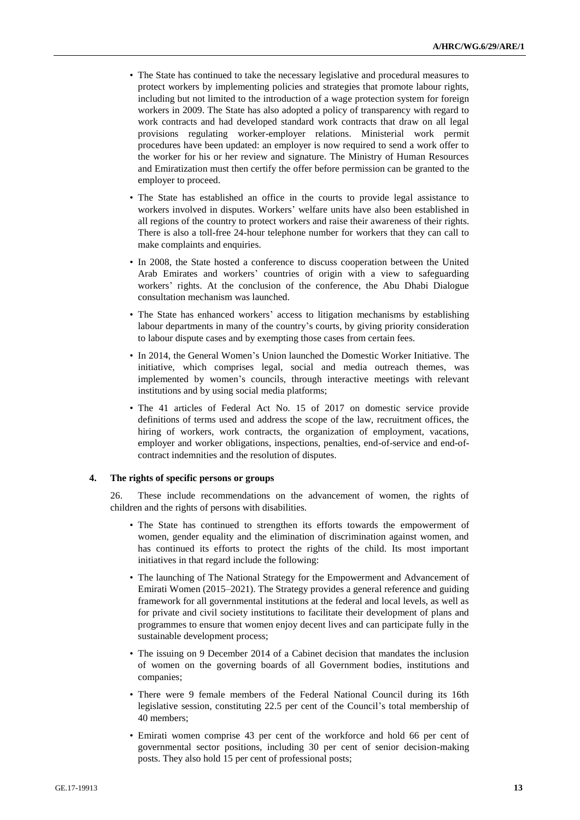- The State has continued to take the necessary legislative and procedural measures to protect workers by implementing policies and strategies that promote labour rights, including but not limited to the introduction of a wage protection system for foreign workers in 2009. The State has also adopted a policy of transparency with regard to work contracts and had developed standard work contracts that draw on all legal provisions regulating worker-employer relations. Ministerial work permit procedures have been updated: an employer is now required to send a work offer to the worker for his or her review and signature. The Ministry of Human Resources and Emiratization must then certify the offer before permission can be granted to the employer to proceed.
- The State has established an office in the courts to provide legal assistance to workers involved in disputes. Workers' welfare units have also been established in all regions of the country to protect workers and raise their awareness of their rights. There is also a toll-free 24-hour telephone number for workers that they can call to make complaints and enquiries.
- In 2008, the State hosted a conference to discuss cooperation between the United Arab Emirates and workers' countries of origin with a view to safeguarding workers' rights. At the conclusion of the conference, the Abu Dhabi Dialogue consultation mechanism was launched.
- The State has enhanced workers' access to litigation mechanisms by establishing labour departments in many of the country's courts, by giving priority consideration to labour dispute cases and by exempting those cases from certain fees.
- In 2014, the General Women's Union launched the Domestic Worker Initiative. The initiative, which comprises legal, social and media outreach themes, was implemented by women's councils, through interactive meetings with relevant institutions and by using social media platforms;
- The 41 articles of Federal Act No. 15 of 2017 on domestic service provide definitions of terms used and address the scope of the law, recruitment offices, the hiring of workers, work contracts, the organization of employment, vacations, employer and worker obligations, inspections, penalties, end-of-service and end-ofcontract indemnities and the resolution of disputes.

#### **4. The rights of specific persons or groups**

26. These include recommendations on the advancement of women, the rights of children and the rights of persons with disabilities.

- The State has continued to strengthen its efforts towards the empowerment of women, gender equality and the elimination of discrimination against women, and has continued its efforts to protect the rights of the child. Its most important initiatives in that regard include the following:
- The launching of The National Strategy for the Empowerment and Advancement of Emirati Women (2015–2021). The Strategy provides a general reference and guiding framework for all governmental institutions at the federal and local levels, as well as for private and civil society institutions to facilitate their development of plans and programmes to ensure that women enjoy decent lives and can participate fully in the sustainable development process;
- The issuing on 9 December 2014 of a Cabinet decision that mandates the inclusion of women on the governing boards of all Government bodies, institutions and companies;
- There were 9 female members of the Federal National Council during its 16th legislative session, constituting 22.5 per cent of the Council's total membership of 40 members;
- Emirati women comprise 43 per cent of the workforce and hold 66 per cent of governmental sector positions, including 30 per cent of senior decision-making posts. They also hold 15 per cent of professional posts;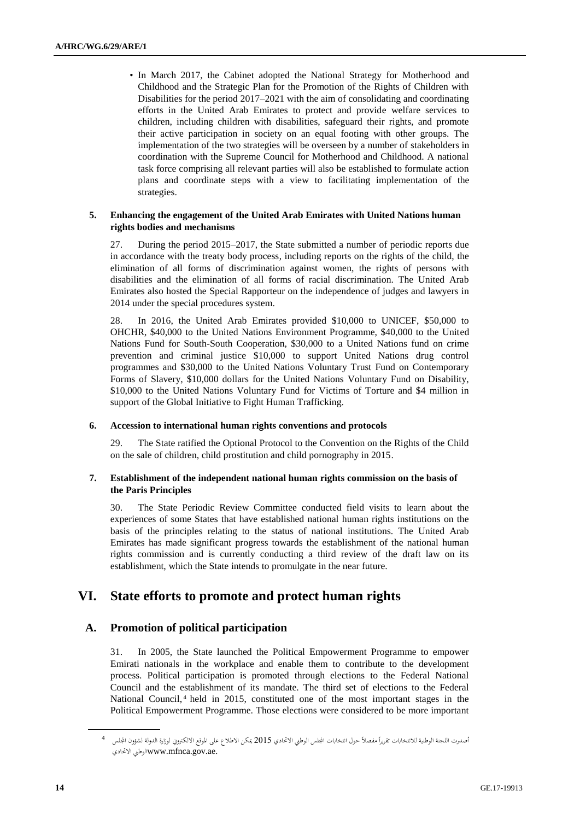• In March 2017, the Cabinet adopted the National Strategy for Motherhood and Childhood and the Strategic Plan for the Promotion of the Rights of Children with Disabilities for the period 2017–2021 with the aim of consolidating and coordinating efforts in the United Arab Emirates to protect and provide welfare services to children, including children with disabilities, safeguard their rights, and promote their active participation in society on an equal footing with other groups. The implementation of the two strategies will be overseen by a number of stakeholders in coordination with the Supreme Council for Motherhood and Childhood. A national task force comprising all relevant parties will also be established to formulate action plans and coordinate steps with a view to facilitating implementation of the strategies.

#### **5. Enhancing the engagement of the United Arab Emirates with United Nations human rights bodies and mechanisms**

27. During the period 2015–2017, the State submitted a number of periodic reports due in accordance with the treaty body process, including reports on the rights of the child, the elimination of all forms of discrimination against women, the rights of persons with disabilities and the elimination of all forms of racial discrimination. The United Arab Emirates also hosted the Special Rapporteur on the independence of judges and lawyers in 2014 under the special procedures system.

28. In 2016, the United Arab Emirates provided \$10,000 to UNICEF, \$50,000 to OHCHR, \$40,000 to the United Nations Environment Programme, \$40,000 to the United Nations Fund for South-South Cooperation, \$30,000 to a United Nations fund on crime prevention and criminal justice \$10,000 to support United Nations drug control programmes and \$30,000 to the United Nations Voluntary Trust Fund on Contemporary Forms of Slavery, \$10,000 dollars for the United Nations Voluntary Fund on Disability, \$10,000 to the United Nations Voluntary Fund for Victims of Torture and \$4 million in support of the Global Initiative to Fight Human Trafficking.

### **6. Accession to international human rights conventions and protocols**

29. The State ratified the Optional Protocol to the Convention on the Rights of the Child on the sale of children, child prostitution and child pornography in 2015.

#### **7. Establishment of the independent national human rights commission on the basis of the Paris Principles**

30. The State Periodic Review Committee conducted field visits to learn about the experiences of some States that have established national human rights institutions on the basis of the principles relating to the status of national institutions. The United Arab Emirates has made significant progress towards the establishment of the national human rights commission and is currently conducting a third review of the draft law on its establishment, which the State intends to promulgate in the near future.

# <span id="page-13-0"></span>**VI. State efforts to promote and protect human rights**

### <span id="page-13-1"></span>**A. Promotion of political participation**

31. In 2005, the State launched the Political Empowerment Programme to empower Emirati nationals in the workplace and enable them to contribute to the development process. Political participation is promoted through elections to the Federal National Council and the establishment of its mandate. The third set of elections to the Federal National Council, <sup>4</sup> held in 2015, constituted one of the most important stages in the Political Empowerment Programme. Those elections were considered to be more important

أصدرت اللجنة الوطنية للانتخابات تقريراً مفصلاً حول انتخابات المجلس الوطني الاتحادي 2015 يمكن الاطلاع على الموقع الالكتروني لوزارة الدولة لشؤون المجلس ل<sup>4</sup> االحتادي الوطينwww.mfnca.gov.ae.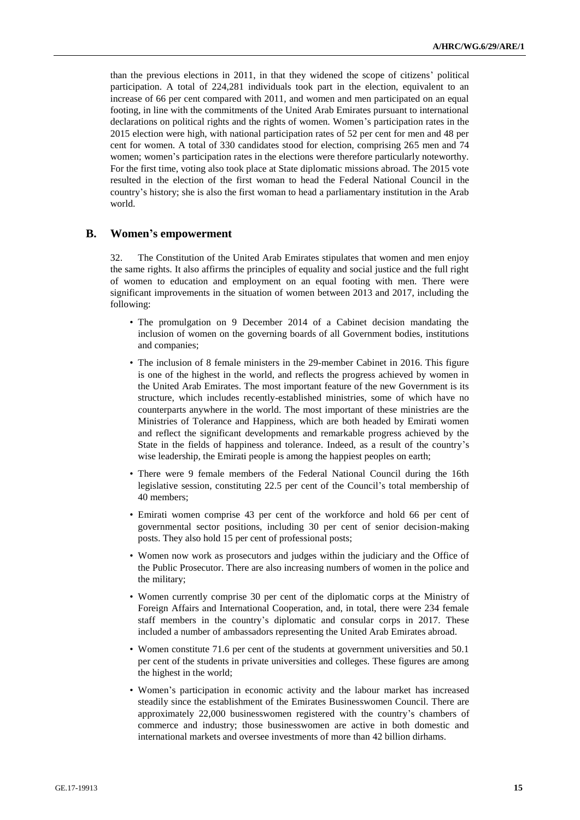than the previous elections in 2011, in that they widened the scope of citizens' political participation. A total of 224,281 individuals took part in the election, equivalent to an increase of 66 per cent compared with 2011, and women and men participated on an equal footing, in line with the commitments of the United Arab Emirates pursuant to international declarations on political rights and the rights of women. Women's participation rates in the 2015 election were high, with national participation rates of 52 per cent for men and 48 per cent for women. A total of 330 candidates stood for election, comprising 265 men and 74 women; women's participation rates in the elections were therefore particularly noteworthy. For the first time, voting also took place at State diplomatic missions abroad. The 2015 vote resulted in the election of the first woman to head the Federal National Council in the country's history; she is also the first woman to head a parliamentary institution in the Arab world.

### <span id="page-14-0"></span>**B. Women's empowerment**

32. The Constitution of the United Arab Emirates stipulates that women and men enjoy the same rights. It also affirms the principles of equality and social justice and the full right of women to education and employment on an equal footing with men. There were significant improvements in the situation of women between 2013 and 2017, including the following:

- The promulgation on 9 December 2014 of a Cabinet decision mandating the inclusion of women on the governing boards of all Government bodies, institutions and companies;
- The inclusion of 8 female ministers in the 29-member Cabinet in 2016. This figure is one of the highest in the world, and reflects the progress achieved by women in the United Arab Emirates. The most important feature of the new Government is its structure, which includes recently-established ministries, some of which have no counterparts anywhere in the world. The most important of these ministries are the Ministries of Tolerance and Happiness, which are both headed by Emirati women and reflect the significant developments and remarkable progress achieved by the State in the fields of happiness and tolerance. Indeed, as a result of the country's wise leadership, the Emirati people is among the happiest peoples on earth;
- There were 9 female members of the Federal National Council during the 16th legislative session, constituting 22.5 per cent of the Council's total membership of 40 members;
- Emirati women comprise 43 per cent of the workforce and hold 66 per cent of governmental sector positions, including 30 per cent of senior decision-making posts. They also hold 15 per cent of professional posts;
- Women now work as prosecutors and judges within the judiciary and the Office of the Public Prosecutor. There are also increasing numbers of women in the police and the military;
- Women currently comprise 30 per cent of the diplomatic corps at the Ministry of Foreign Affairs and International Cooperation, and, in total, there were 234 female staff members in the country's diplomatic and consular corps in 2017. These included a number of ambassadors representing the United Arab Emirates abroad.
- Women constitute 71.6 per cent of the students at government universities and 50.1 per cent of the students in private universities and colleges. These figures are among the highest in the world;
- Women's participation in economic activity and the labour market has increased steadily since the establishment of the Emirates Businesswomen Council. There are approximately 22,000 businesswomen registered with the country's chambers of commerce and industry; those businesswomen are active in both domestic and international markets and oversee investments of more than 42 billion dirhams.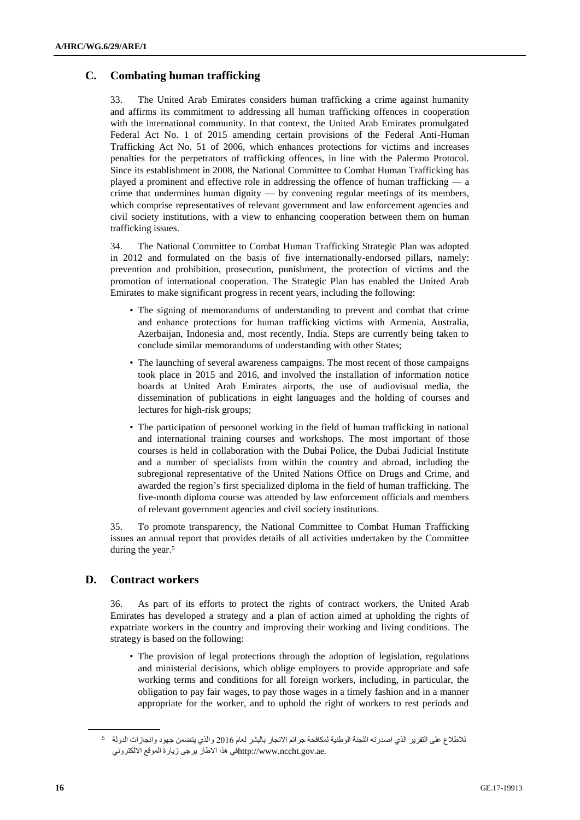## <span id="page-15-0"></span>**C. Combating human trafficking**

33. The United Arab Emirates considers human trafficking a crime against humanity and affirms its commitment to addressing all human trafficking offences in cooperation with the international community. In that context, the United Arab Emirates promulgated Federal Act No. 1 of 2015 amending certain provisions of the Federal Anti-Human Trafficking Act No. 51 of 2006, which enhances protections for victims and increases penalties for the perpetrators of trafficking offences, in line with the Palermo Protocol. Since its establishment in 2008, the National Committee to Combat Human Trafficking has played a prominent and effective role in addressing the offence of human trafficking — a crime that undermines human dignity — by convening regular meetings of its members, which comprise representatives of relevant government and law enforcement agencies and civil society institutions, with a view to enhancing cooperation between them on human trafficking issues.

34. The National Committee to Combat Human Trafficking Strategic Plan was adopted in 2012 and formulated on the basis of five internationally-endorsed pillars, namely: prevention and prohibition, prosecution, punishment, the protection of victims and the promotion of international cooperation. The Strategic Plan has enabled the United Arab Emirates to make significant progress in recent years, including the following:

- The signing of memorandums of understanding to prevent and combat that crime and enhance protections for human trafficking victims with Armenia, Australia, Azerbaijan, Indonesia and, most recently, India. Steps are currently being taken to conclude similar memorandums of understanding with other States;
- The launching of several awareness campaigns. The most recent of those campaigns took place in 2015 and 2016, and involved the installation of information notice boards at United Arab Emirates airports, the use of audiovisual media, the dissemination of publications in eight languages and the holding of courses and lectures for high-risk groups;
- The participation of personnel working in the field of human trafficking in national and international training courses and workshops. The most important of those courses is held in collaboration with the Dubai Police, the Dubai Judicial Institute and a number of specialists from within the country and abroad, including the subregional representative of the United Nations Office on Drugs and Crime, and awarded the region's first specialized diploma in the field of human trafficking. The five-month diploma course was attended by law enforcement officials and members of relevant government agencies and civil society institutions.

35. To promote transparency, the National Committee to Combat Human Trafficking issues an annual report that provides details of all activities undertaken by the Committee during the year. 5

### <span id="page-15-1"></span>**D. Contract workers**

36. As part of its efforts to protect the rights of contract workers, the United Arab Emirates has developed a strategy and a plan of action aimed at upholding the rights of expatriate workers in the country and improving their working and living conditions. The strategy is based on the following:

• The provision of legal protections through the adoption of legislation, regulations and ministerial decisions, which oblige employers to provide appropriate and safe working terms and conditions for all foreign workers, including, in particular, the obligation to pay fair wages, to pay those wages in a timely fashion and in a manner appropriate for the worker, and to uphold the right of workers to rest periods and

<sup>5</sup> لالطالع على التقرير الذي اصدرته اللجنة الوطنية لمكافحة جرائم االتجار بالبشر لعام 2016 والذي يتضمن جهود وانجازات الدولة .http://www.nccht.gov.aeفي هذا الاطار يرجى زيارة الموقع الالكتروني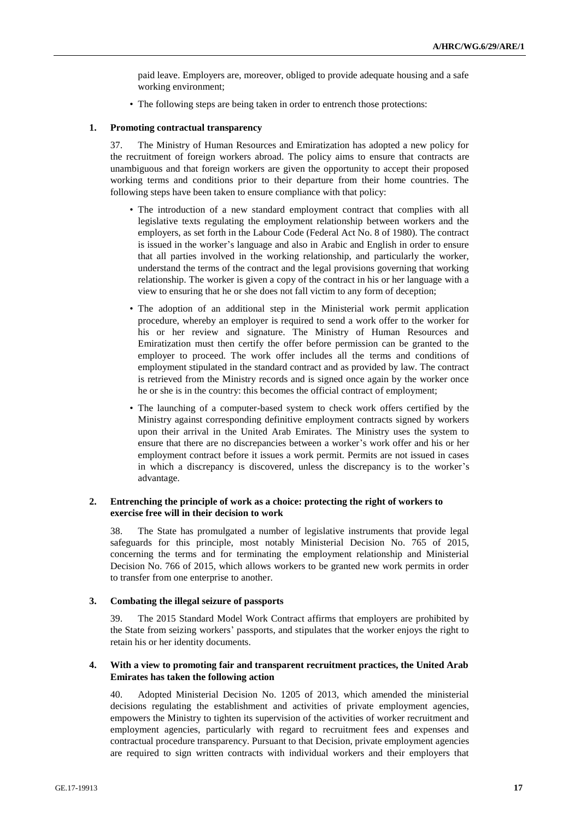paid leave. Employers are, moreover, obliged to provide adequate housing and a safe working environment;

• The following steps are being taken in order to entrench those protections:

#### **1. Promoting contractual transparency**

37. The Ministry of Human Resources and Emiratization has adopted a new policy for the recruitment of foreign workers abroad. The policy aims to ensure that contracts are unambiguous and that foreign workers are given the opportunity to accept their proposed working terms and conditions prior to their departure from their home countries. The following steps have been taken to ensure compliance with that policy:

- The introduction of a new standard employment contract that complies with all legislative texts regulating the employment relationship between workers and the employers, as set forth in the Labour Code (Federal Act No. 8 of 1980). The contract is issued in the worker's language and also in Arabic and English in order to ensure that all parties involved in the working relationship, and particularly the worker, understand the terms of the contract and the legal provisions governing that working relationship. The worker is given a copy of the contract in his or her language with a view to ensuring that he or she does not fall victim to any form of deception;
- The adoption of an additional step in the Ministerial work permit application procedure, whereby an employer is required to send a work offer to the worker for his or her review and signature. The Ministry of Human Resources and Emiratization must then certify the offer before permission can be granted to the employer to proceed. The work offer includes all the terms and conditions of employment stipulated in the standard contract and as provided by law. The contract is retrieved from the Ministry records and is signed once again by the worker once he or she is in the country: this becomes the official contract of employment;
- The launching of a computer-based system to check work offers certified by the Ministry against corresponding definitive employment contracts signed by workers upon their arrival in the United Arab Emirates. The Ministry uses the system to ensure that there are no discrepancies between a worker's work offer and his or her employment contract before it issues a work permit. Permits are not issued in cases in which a discrepancy is discovered, unless the discrepancy is to the worker's advantage.

#### **2. Entrenching the principle of work as a choice: protecting the right of workers to exercise free will in their decision to work**

38. The State has promulgated a number of legislative instruments that provide legal safeguards for this principle, most notably Ministerial Decision No. 765 of 2015, concerning the terms and for terminating the employment relationship and Ministerial Decision No. 766 of 2015, which allows workers to be granted new work permits in order to transfer from one enterprise to another.

#### **3. Combating the illegal seizure of passports**

39. The 2015 Standard Model Work Contract affirms that employers are prohibited by the State from seizing workers' passports, and stipulates that the worker enjoys the right to retain his or her identity documents.

#### **4. With a view to promoting fair and transparent recruitment practices, the United Arab Emirates has taken the following action**

40. Adopted Ministerial Decision No. 1205 of 2013, which amended the ministerial decisions regulating the establishment and activities of private employment agencies, empowers the Ministry to tighten its supervision of the activities of worker recruitment and employment agencies, particularly with regard to recruitment fees and expenses and contractual procedure transparency. Pursuant to that Decision, private employment agencies are required to sign written contracts with individual workers and their employers that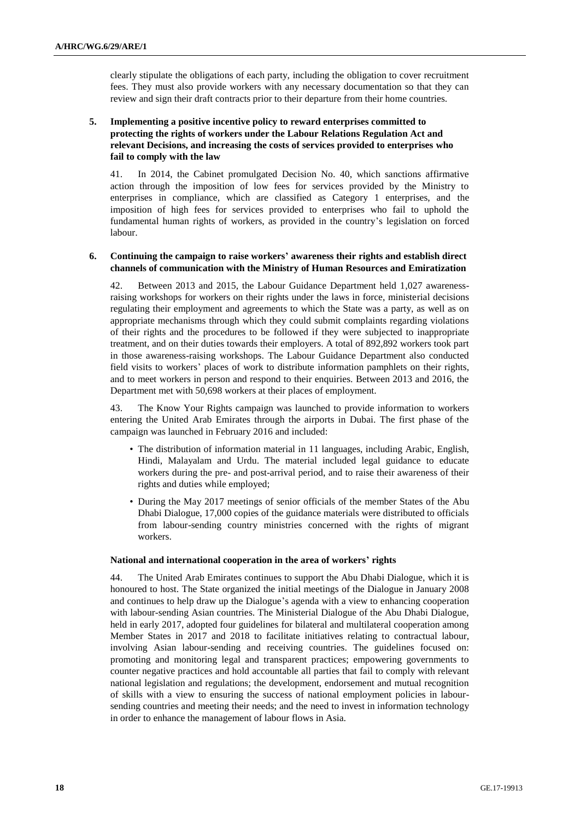clearly stipulate the obligations of each party, including the obligation to cover recruitment fees. They must also provide workers with any necessary documentation so that they can review and sign their draft contracts prior to their departure from their home countries.

### **5. Implementing a positive incentive policy to reward enterprises committed to protecting the rights of workers under the Labour Relations Regulation Act and relevant Decisions, and increasing the costs of services provided to enterprises who fail to comply with the law**

41. In 2014, the Cabinet promulgated Decision No. 40, which sanctions affirmative action through the imposition of low fees for services provided by the Ministry to enterprises in compliance, which are classified as Category 1 enterprises, and the imposition of high fees for services provided to enterprises who fail to uphold the fundamental human rights of workers, as provided in the country's legislation on forced labour.

#### **6. Continuing the campaign to raise workers' awareness their rights and establish direct channels of communication with the Ministry of Human Resources and Emiratization**

42. Between 2013 and 2015, the Labour Guidance Department held 1,027 awarenessraising workshops for workers on their rights under the laws in force, ministerial decisions regulating their employment and agreements to which the State was a party, as well as on appropriate mechanisms through which they could submit complaints regarding violations of their rights and the procedures to be followed if they were subjected to inappropriate treatment, and on their duties towards their employers. A total of 892,892 workers took part in those awareness-raising workshops. The Labour Guidance Department also conducted field visits to workers' places of work to distribute information pamphlets on their rights, and to meet workers in person and respond to their enquiries. Between 2013 and 2016, the Department met with 50,698 workers at their places of employment.

43. The Know Your Rights campaign was launched to provide information to workers entering the United Arab Emirates through the airports in Dubai. The first phase of the campaign was launched in February 2016 and included:

- The distribution of information material in 11 languages, including Arabic, English, Hindi, Malayalam and Urdu. The material included legal guidance to educate workers during the pre- and post-arrival period, and to raise their awareness of their rights and duties while employed;
- During the May 2017 meetings of senior officials of the member States of the Abu Dhabi Dialogue, 17,000 copies of the guidance materials were distributed to officials from labour-sending country ministries concerned with the rights of migrant workers.

#### **National and international cooperation in the area of workers' rights**

44. The United Arab Emirates continues to support the Abu Dhabi Dialogue, which it is honoured to host. The State organized the initial meetings of the Dialogue in January 2008 and continues to help draw up the Dialogue's agenda with a view to enhancing cooperation with labour-sending Asian countries. The Ministerial Dialogue of the Abu Dhabi Dialogue, held in early 2017, adopted four guidelines for bilateral and multilateral cooperation among Member States in 2017 and 2018 to facilitate initiatives relating to contractual labour, involving Asian labour-sending and receiving countries. The guidelines focused on: promoting and monitoring legal and transparent practices; empowering governments to counter negative practices and hold accountable all parties that fail to comply with relevant national legislation and regulations; the development, endorsement and mutual recognition of skills with a view to ensuring the success of national employment policies in laboursending countries and meeting their needs; and the need to invest in information technology in order to enhance the management of labour flows in Asia.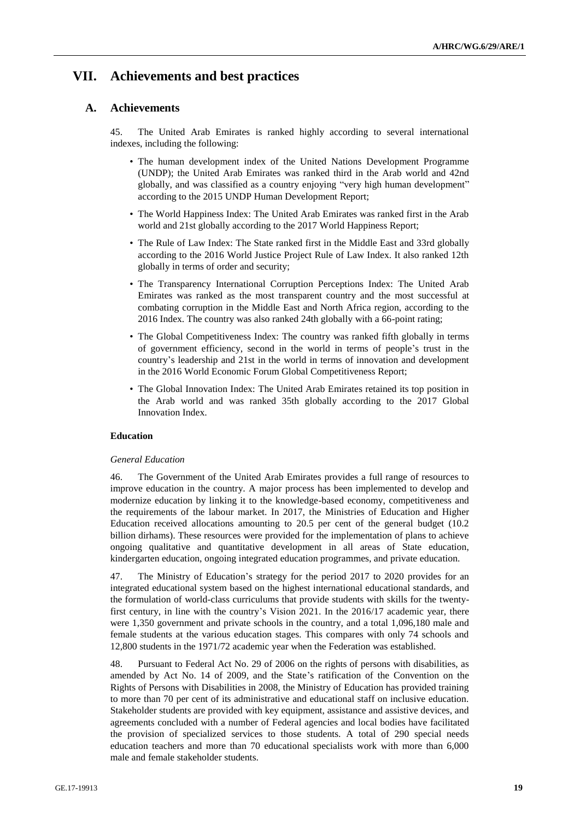# <span id="page-18-0"></span>**VII. Achievements and best practices**

### <span id="page-18-1"></span>**A. Achievements**

45. The United Arab Emirates is ranked highly according to several international indexes, including the following:

- The human development index of the United Nations Development Programme (UNDP); the United Arab Emirates was ranked third in the Arab world and 42nd globally, and was classified as a country enjoying "very high human development" according to the 2015 UNDP Human Development Report;
- The World Happiness Index: The United Arab Emirates was ranked first in the Arab world and 21st globally according to the 2017 World Happiness Report;
- The Rule of Law Index: The State ranked first in the Middle East and 33rd globally according to the 2016 World Justice Project Rule of Law Index. It also ranked 12th globally in terms of order and security;
- The Transparency International Corruption Perceptions Index: The United Arab Emirates was ranked as the most transparent country and the most successful at combating corruption in the Middle East and North Africa region, according to the 2016 Index. The country was also ranked 24th globally with a 66-point rating;
- The Global Competitiveness Index: The country was ranked fifth globally in terms of government efficiency, second in the world in terms of people's trust in the country's leadership and 21st in the world in terms of innovation and development in the 2016 World Economic Forum Global Competitiveness Report;
- The Global Innovation Index: The United Arab Emirates retained its top position in the Arab world and was ranked 35th globally according to the 2017 Global Innovation Index.

### **Education**

#### *General Education*

46. The Government of the United Arab Emirates provides a full range of resources to improve education in the country. A major process has been implemented to develop and modernize education by linking it to the knowledge-based economy, competitiveness and the requirements of the labour market. In 2017, the Ministries of Education and Higher Education received allocations amounting to 20.5 per cent of the general budget (10.2 billion dirhams). These resources were provided for the implementation of plans to achieve ongoing qualitative and quantitative development in all areas of State education, kindergarten education, ongoing integrated education programmes, and private education.

47. The Ministry of Education's strategy for the period 2017 to 2020 provides for an integrated educational system based on the highest international educational standards, and the formulation of world-class curriculums that provide students with skills for the twentyfirst century, in line with the country's Vision 2021. In the 2016/17 academic year, there were 1,350 government and private schools in the country, and a total 1,096,180 male and female students at the various education stages. This compares with only 74 schools and 12,800 students in the 1971/72 academic year when the Federation was established.

48. Pursuant to Federal Act No. 29 of 2006 on the rights of persons with disabilities, as amended by Act No. 14 of 2009, and the State's ratification of the Convention on the Rights of Persons with Disabilities in 2008, the Ministry of Education has provided training to more than 70 per cent of its administrative and educational staff on inclusive education. Stakeholder students are provided with key equipment, assistance and assistive devices, and agreements concluded with a number of Federal agencies and local bodies have facilitated the provision of specialized services to those students. A total of 290 special needs education teachers and more than 70 educational specialists work with more than 6,000 male and female stakeholder students.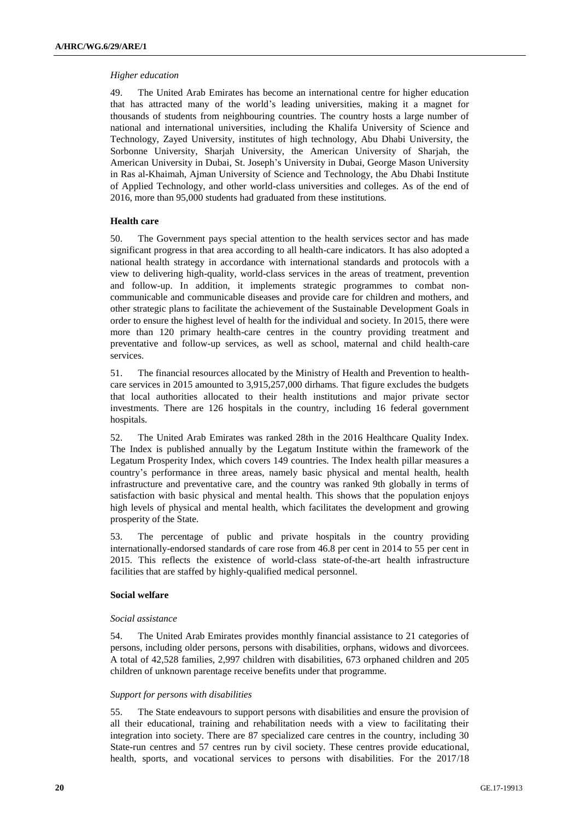#### *Higher education*

49. The United Arab Emirates has become an international centre for higher education that has attracted many of the world's leading universities, making it a magnet for thousands of students from neighbouring countries. The country hosts a large number of national and international universities, including the Khalifa University of Science and Technology, Zayed University, institutes of high technology, Abu Dhabi University, the Sorbonne University, Sharjah University, the American University of Sharjah, the American University in Dubai, St. Joseph's University in Dubai, George Mason University in Ras al-Khaimah, Ajman University of Science and Technology, the Abu Dhabi Institute of Applied Technology, and other world-class universities and colleges. As of the end of 2016, more than 95,000 students had graduated from these institutions.

#### **Health care**

50. The Government pays special attention to the health services sector and has made significant progress in that area according to all health-care indicators. It has also adopted a national health strategy in accordance with international standards and protocols with a view to delivering high-quality, world-class services in the areas of treatment, prevention and follow-up. In addition, it implements strategic programmes to combat noncommunicable and communicable diseases and provide care for children and mothers, and other strategic plans to facilitate the achievement of the Sustainable Development Goals in order to ensure the highest level of health for the individual and society. In 2015, there were more than 120 primary health-care centres in the country providing treatment and preventative and follow-up services, as well as school, maternal and child health-care services.

51. The financial resources allocated by the Ministry of Health and Prevention to healthcare services in 2015 amounted to 3,915,257,000 dirhams. That figure excludes the budgets that local authorities allocated to their health institutions and major private sector investments. There are 126 hospitals in the country, including 16 federal government hospitals.

52. The United Arab Emirates was ranked 28th in the 2016 Healthcare Quality Index. The Index is published annually by the Legatum Institute within the framework of the Legatum Prosperity Index, which covers 149 countries. The Index health pillar measures a country's performance in three areas, namely basic physical and mental health, health infrastructure and preventative care, and the country was ranked 9th globally in terms of satisfaction with basic physical and mental health. This shows that the population enjoys high levels of physical and mental health, which facilitates the development and growing prosperity of the State.

53. The percentage of public and private hospitals in the country providing internationally-endorsed standards of care rose from 46.8 per cent in 2014 to 55 per cent in 2015. This reflects the existence of world-class state-of-the-art health infrastructure facilities that are staffed by highly-qualified medical personnel.

### **Social welfare**

#### *Social assistance*

54. The United Arab Emirates provides monthly financial assistance to 21 categories of persons, including older persons, persons with disabilities, orphans, widows and divorcees. A total of 42,528 families, 2,997 children with disabilities, 673 orphaned children and 205 children of unknown parentage receive benefits under that programme.

#### *Support for persons with disabilities*

55. The State endeavours to support persons with disabilities and ensure the provision of all their educational, training and rehabilitation needs with a view to facilitating their integration into society. There are 87 specialized care centres in the country, including 30 State-run centres and 57 centres run by civil society. These centres provide educational, health, sports, and vocational services to persons with disabilities. For the 2017/18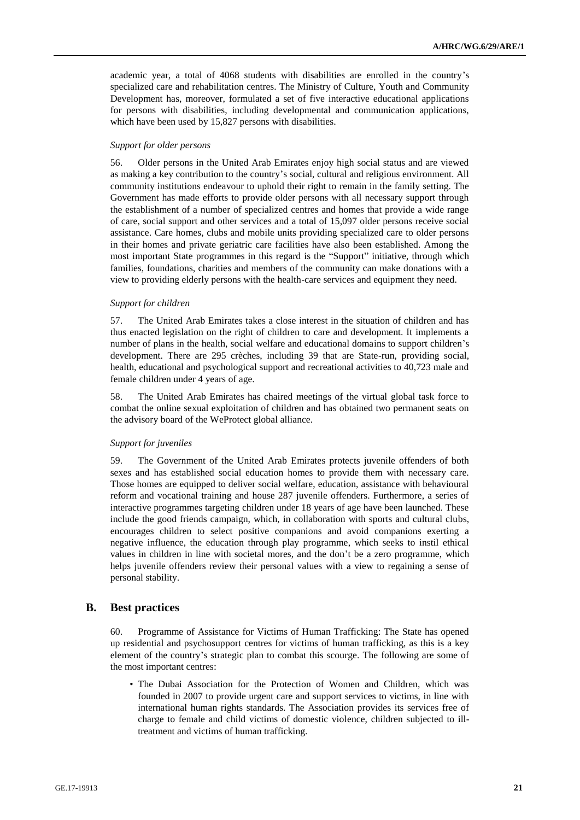academic year, a total of 4068 students with disabilities are enrolled in the country's specialized care and rehabilitation centres. The Ministry of Culture, Youth and Community Development has, moreover, formulated a set of five interactive educational applications for persons with disabilities, including developmental and communication applications, which have been used by 15,827 persons with disabilities.

#### *Support for older persons*

56. Older persons in the United Arab Emirates enjoy high social status and are viewed as making a key contribution to the country's social, cultural and religious environment. All community institutions endeavour to uphold their right to remain in the family setting. The Government has made efforts to provide older persons with all necessary support through the establishment of a number of specialized centres and homes that provide a wide range of care, social support and other services and a total of 15,097 older persons receive social assistance. Care homes, clubs and mobile units providing specialized care to older persons in their homes and private geriatric care facilities have also been established. Among the most important State programmes in this regard is the "Support" initiative, through which families, foundations, charities and members of the community can make donations with a view to providing elderly persons with the health-care services and equipment they need.

#### *Support for children*

57. The United Arab Emirates takes a close interest in the situation of children and has thus enacted legislation on the right of children to care and development. It implements a number of plans in the health, social welfare and educational domains to support children's development. There are 295 crèches, including 39 that are State-run, providing social, health, educational and psychological support and recreational activities to 40,723 male and female children under 4 years of age.

58. The United Arab Emirates has chaired meetings of the virtual global task force to combat the online sexual exploitation of children and has obtained two permanent seats on the advisory board of the WeProtect global alliance.

#### *Support for juveniles*

59. The Government of the United Arab Emirates protects juvenile offenders of both sexes and has established social education homes to provide them with necessary care. Those homes are equipped to deliver social welfare, education, assistance with behavioural reform and vocational training and house 287 juvenile offenders. Furthermore, a series of interactive programmes targeting children under 18 years of age have been launched. These include the good friends campaign, which, in collaboration with sports and cultural clubs, encourages children to select positive companions and avoid companions exerting a negative influence, the education through play programme, which seeks to instil ethical values in children in line with societal mores, and the don't be a zero programme, which helps juvenile offenders review their personal values with a view to regaining a sense of personal stability.

### <span id="page-20-0"></span>**B. Best practices**

60. Programme of Assistance for Victims of Human Trafficking: The State has opened up residential and psychosupport centres for victims of human trafficking, as this is a key element of the country's strategic plan to combat this scourge. The following are some of the most important centres:

• The Dubai Association for the Protection of Women and Children, which was founded in 2007 to provide urgent care and support services to victims, in line with international human rights standards. The Association provides its services free of charge to female and child victims of domestic violence, children subjected to illtreatment and victims of human trafficking.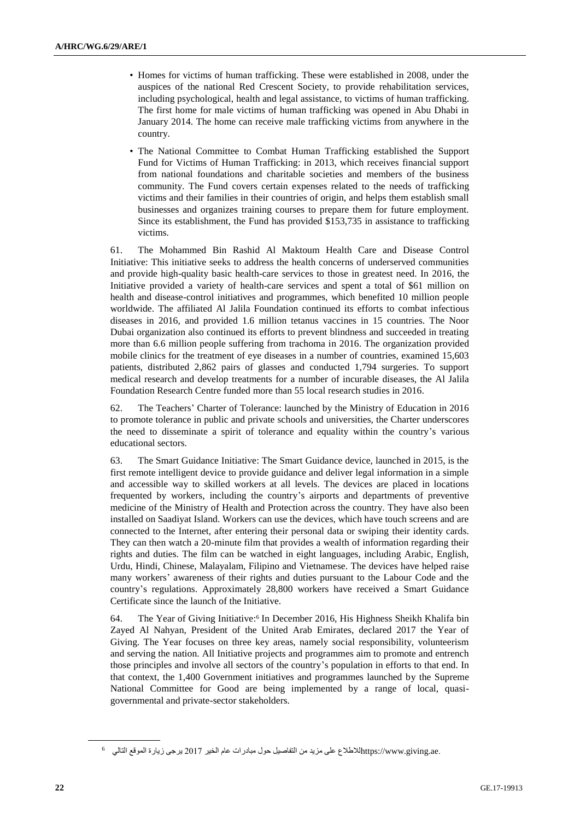- Homes for victims of human trafficking. These were established in 2008, under the auspices of the national Red Crescent Society, to provide rehabilitation services, including psychological, health and legal assistance, to victims of human trafficking. The first home for male victims of human trafficking was opened in Abu Dhabi in January 2014. The home can receive male trafficking victims from anywhere in the country.
- The National Committee to Combat Human Trafficking established the Support Fund for Victims of Human Trafficking: in 2013, which receives financial support from national foundations and charitable societies and members of the business community. The Fund covers certain expenses related to the needs of trafficking victims and their families in their countries of origin, and helps them establish small businesses and organizes training courses to prepare them for future employment. Since its establishment, the Fund has provided \$153,735 in assistance to trafficking victims.

61. The Mohammed Bin Rashid Al Maktoum Health Care and Disease Control Initiative: This initiative seeks to address the health concerns of underserved communities and provide high-quality basic health-care services to those in greatest need. In 2016, the Initiative provided a variety of health-care services and spent a total of \$61 million on health and disease-control initiatives and programmes, which benefited 10 million people worldwide. The affiliated Al Jalila Foundation continued its efforts to combat infectious diseases in 2016, and provided 1.6 million tetanus vaccines in 15 countries. The Noor Dubai organization also continued its efforts to prevent blindness and succeeded in treating more than 6.6 million people suffering from trachoma in 2016. The organization provided mobile clinics for the treatment of eye diseases in a number of countries, examined 15,603 patients, distributed 2,862 pairs of glasses and conducted 1,794 surgeries. To support medical research and develop treatments for a number of incurable diseases, the Al Jalila Foundation Research Centre funded more than 55 local research studies in 2016.

62. The Teachers' Charter of Tolerance: launched by the Ministry of Education in 2016 to promote tolerance in public and private schools and universities, the Charter underscores the need to disseminate a spirit of tolerance and equality within the country's various educational sectors.

63. The Smart Guidance Initiative: The Smart Guidance device, launched in 2015, is the first remote intelligent device to provide guidance and deliver legal information in a simple and accessible way to skilled workers at all levels. The devices are placed in locations frequented by workers, including the country's airports and departments of preventive medicine of the Ministry of Health and Protection across the country. They have also been installed on Saadiyat Island. Workers can use the devices, which have touch screens and are connected to the Internet, after entering their personal data or swiping their identity cards. They can then watch a 20-minute film that provides a wealth of information regarding their rights and duties. The film can be watched in eight languages, including Arabic, English, Urdu, Hindi, Chinese, Malayalam, Filipino and Vietnamese. The devices have helped raise many workers' awareness of their rights and duties pursuant to the Labour Code and the country's regulations. Approximately 28,800 workers have received a Smart Guidance Certificate since the launch of the Initiative.

64. The Year of Giving Initiative: 6 In December 2016, His Highness Sheikh Khalifa bin Zayed Al Nahyan, President of the United Arab Emirates, declared 2017 the Year of Giving. The Year focuses on three key areas, namely social responsibility, volunteerism and serving the nation. All Initiative projects and programmes aim to promote and entrench those principles and involve all sectors of the country's population in efforts to that end. In that context, the 1,400 Government initiatives and programmes launched by the Supreme National Committee for Good are being implemented by a range of local, quasigovernmental and private-sector stakeholders.

 $^6$  من التفاصيل حول مبادرات عام الخير 2017 يرجى زيارة الموقع التالي $\mu_{\rm ttps:}/$ www.giving.ae.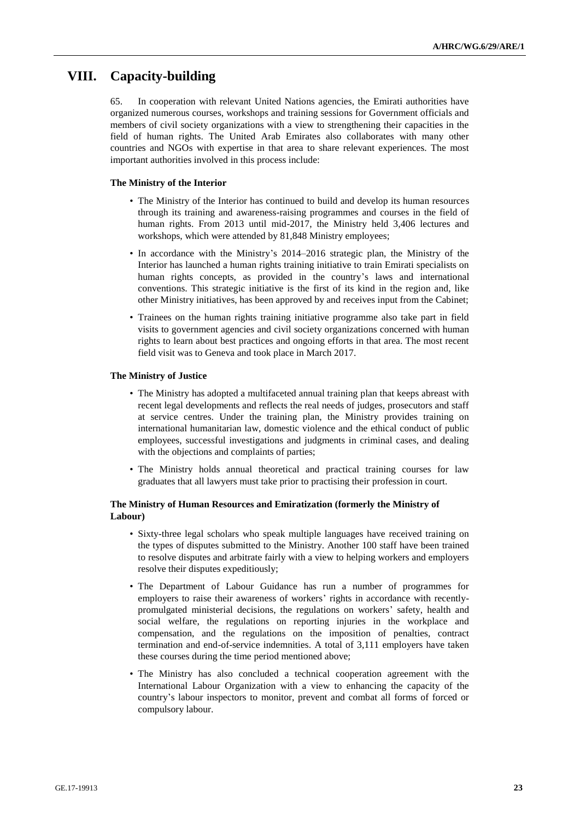## <span id="page-22-0"></span>**VIII. Capacity-building**

In cooperation with relevant United Nations agencies, the Emirati authorities have organized numerous courses, workshops and training sessions for Government officials and members of civil society organizations with a view to strengthening their capacities in the field of human rights. The United Arab Emirates also collaborates with many other countries and NGOs with expertise in that area to share relevant experiences. The most important authorities involved in this process include:

#### **The Ministry of the Interior**

- The Ministry of the Interior has continued to build and develop its human resources through its training and awareness-raising programmes and courses in the field of human rights. From 2013 until mid-2017, the Ministry held 3,406 lectures and workshops, which were attended by 81,848 Ministry employees;
- In accordance with the Ministry's 2014–2016 strategic plan, the Ministry of the Interior has launched a human rights training initiative to train Emirati specialists on human rights concepts, as provided in the country's laws and international conventions. This strategic initiative is the first of its kind in the region and, like other Ministry initiatives, has been approved by and receives input from the Cabinet;
- Trainees on the human rights training initiative programme also take part in field visits to government agencies and civil society organizations concerned with human rights to learn about best practices and ongoing efforts in that area. The most recent field visit was to Geneva and took place in March 2017.

#### **The Ministry of Justice**

- The Ministry has adopted a multifaceted annual training plan that keeps abreast with recent legal developments and reflects the real needs of judges, prosecutors and staff at service centres. Under the training plan, the Ministry provides training on international humanitarian law, domestic violence and the ethical conduct of public employees, successful investigations and judgments in criminal cases, and dealing with the objections and complaints of parties;
- The Ministry holds annual theoretical and practical training courses for law graduates that all lawyers must take prior to practising their profession in court.

#### **The Ministry of Human Resources and Emiratization (formerly the Ministry of Labour)**

- Sixty-three legal scholars who speak multiple languages have received training on the types of disputes submitted to the Ministry. Another 100 staff have been trained to resolve disputes and arbitrate fairly with a view to helping workers and employers resolve their disputes expeditiously;
- The Department of Labour Guidance has run a number of programmes for employers to raise their awareness of workers' rights in accordance with recentlypromulgated ministerial decisions, the regulations on workers' safety, health and social welfare, the regulations on reporting injuries in the workplace and compensation, and the regulations on the imposition of penalties, contract termination and end-of-service indemnities. A total of 3,111 employers have taken these courses during the time period mentioned above;
- The Ministry has also concluded a technical cooperation agreement with the International Labour Organization with a view to enhancing the capacity of the country's labour inspectors to monitor, prevent and combat all forms of forced or compulsory labour.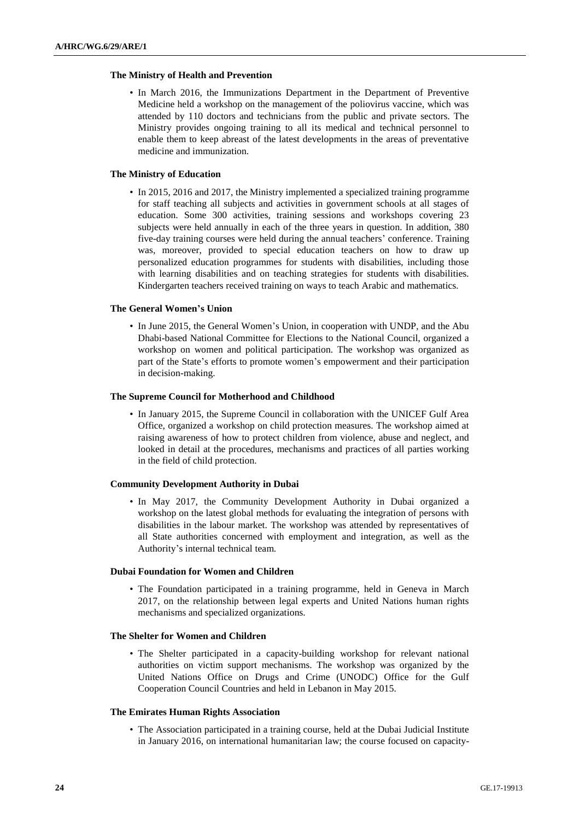#### **The Ministry of Health and Prevention**

• In March 2016, the Immunizations Department in the Department of Preventive Medicine held a workshop on the management of the poliovirus vaccine, which was attended by 110 doctors and technicians from the public and private sectors. The Ministry provides ongoing training to all its medical and technical personnel to enable them to keep abreast of the latest developments in the areas of preventative medicine and immunization.

#### **The Ministry of Education**

• In 2015, 2016 and 2017, the Ministry implemented a specialized training programme for staff teaching all subjects and activities in government schools at all stages of education. Some 300 activities, training sessions and workshops covering 23 subjects were held annually in each of the three years in question. In addition, 380 five-day training courses were held during the annual teachers' conference. Training was, moreover, provided to special education teachers on how to draw up personalized education programmes for students with disabilities, including those with learning disabilities and on teaching strategies for students with disabilities. Kindergarten teachers received training on ways to teach Arabic and mathematics.

#### **The General Women's Union**

• In June 2015, the General Women's Union, in cooperation with UNDP, and the Abu Dhabi-based National Committee for Elections to the National Council, organized a workshop on women and political participation. The workshop was organized as part of the State's efforts to promote women's empowerment and their participation in decision-making.

#### **The Supreme Council for Motherhood and Childhood**

• In January 2015, the Supreme Council in collaboration with the UNICEF Gulf Area Office, organized a workshop on child protection measures. The workshop aimed at raising awareness of how to protect children from violence, abuse and neglect, and looked in detail at the procedures, mechanisms and practices of all parties working in the field of child protection.

### **Community Development Authority in Dubai**

• In May 2017, the Community Development Authority in Dubai organized a workshop on the latest global methods for evaluating the integration of persons with disabilities in the labour market. The workshop was attended by representatives of all State authorities concerned with employment and integration, as well as the Authority's internal technical team.

#### **Dubai Foundation for Women and Children**

• The Foundation participated in a training programme, held in Geneva in March 2017, on the relationship between legal experts and United Nations human rights mechanisms and specialized organizations.

#### **The Shelter for Women and Children**

• The Shelter participated in a capacity-building workshop for relevant national authorities on victim support mechanisms. The workshop was organized by the United Nations Office on Drugs and Crime (UNODC) Office for the Gulf Cooperation Council Countries and held in Lebanon in May 2015.

#### **The Emirates Human Rights Association**

• The Association participated in a training course, held at the Dubai Judicial Institute in January 2016, on international humanitarian law; the course focused on capacity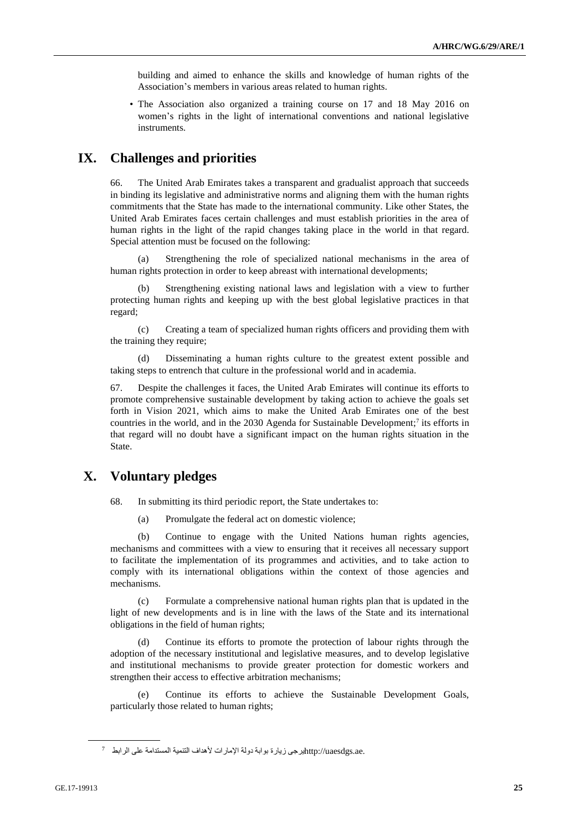building and aimed to enhance the skills and knowledge of human rights of the Association's members in various areas related to human rights.

• The Association also organized a training course on 17 and 18 May 2016 on women's rights in the light of international conventions and national legislative instruments.

# <span id="page-24-0"></span>**IX. Challenges and priorities**

66. The United Arab Emirates takes a transparent and gradualist approach that succeeds in binding its legislative and administrative norms and aligning them with the human rights commitments that the State has made to the international community. Like other States, the United Arab Emirates faces certain challenges and must establish priorities in the area of human rights in the light of the rapid changes taking place in the world in that regard. Special attention must be focused on the following:

(a) Strengthening the role of specialized national mechanisms in the area of human rights protection in order to keep abreast with international developments;

(b) Strengthening existing national laws and legislation with a view to further protecting human rights and keeping up with the best global legislative practices in that regard;

(c) Creating a team of specialized human rights officers and providing them with the training they require;

(d) Disseminating a human rights culture to the greatest extent possible and taking steps to entrench that culture in the professional world and in academia.

67. Despite the challenges it faces, the United Arab Emirates will continue its efforts to promote comprehensive sustainable development by taking action to achieve the goals set forth in Vision 2021, which aims to make the United Arab Emirates one of the best countries in the world, and in the 2030 Agenda for Sustainable Development; 7 its efforts in that regard will no doubt have a significant impact on the human rights situation in the State.

# <span id="page-24-1"></span>**X. Voluntary pledges**

68. In submitting its third periodic report, the State undertakes to:

(a) Promulgate the federal act on domestic violence;

(b) Continue to engage with the United Nations human rights agencies, mechanisms and committees with a view to ensuring that it receives all necessary support to facilitate the implementation of its programmes and activities, and to take action to comply with its international obligations within the context of those agencies and mechanisms.

(c) Formulate a comprehensive national human rights plan that is updated in the light of new developments and is in line with the laws of the State and its international obligations in the field of human rights;

(d) Continue its efforts to promote the protection of labour rights through the adoption of the necessary institutional and legislative measures, and to develop legislative and institutional mechanisms to provide greater protection for domestic workers and strengthen their access to effective arbitration mechanisms;

(e) Continue its efforts to achieve the Sustainable Development Goals, particularly those related to human rights;

 $^7$  للستدامة على الرابط $\rm http://uaesdgs.ac.$